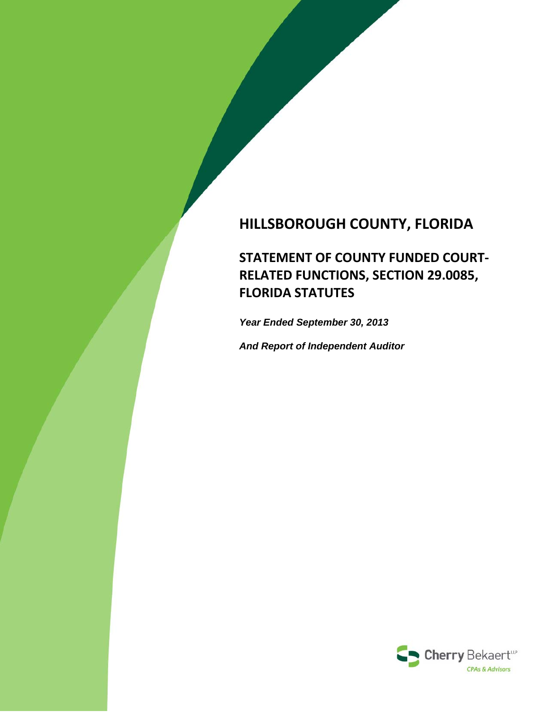# **HILLSBOROUGH COUNTY, FLORIDA**

**STATEMENT OF COUNTY FUNDED COURT‐ RELATED FUNCTIONS, SECTION 29.0085, FLORIDA STATUTES**

*Year Ended September 30, 2013*

*And Report of Independent Auditor*

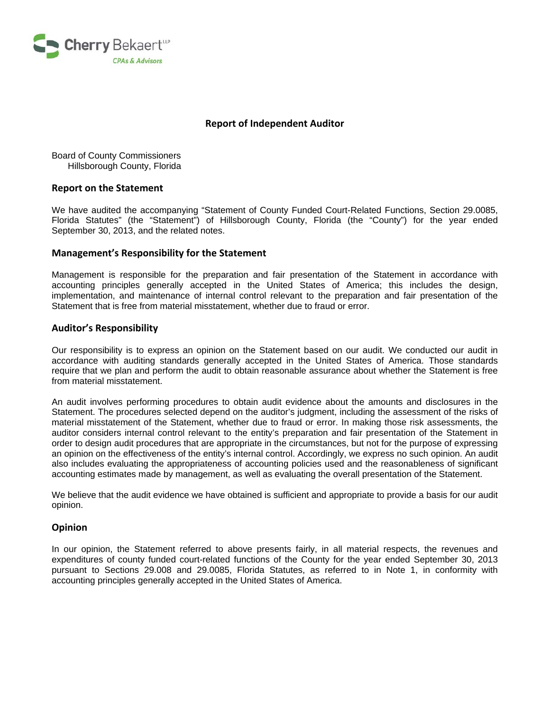

### **Report of Independent Auditor**

Board of County Commissioners Hillsborough County, Florida

#### **Report on the Statement**

We have audited the accompanying "Statement of County Funded Court-Related Functions, Section 29.0085, Florida Statutes" (the "Statement") of Hillsborough County, Florida (the "County") for the year ended September 30, 2013, and the related notes.

#### **Management's Responsibility for the Statement**

Management is responsible for the preparation and fair presentation of the Statement in accordance with accounting principles generally accepted in the United States of America; this includes the design, implementation, and maintenance of internal control relevant to the preparation and fair presentation of the Statement that is free from material misstatement, whether due to fraud or error.

#### **Auditor's Responsibility**

Our responsibility is to express an opinion on the Statement based on our audit. We conducted our audit in accordance with auditing standards generally accepted in the United States of America. Those standards require that we plan and perform the audit to obtain reasonable assurance about whether the Statement is free from material misstatement.

An audit involves performing procedures to obtain audit evidence about the amounts and disclosures in the Statement. The procedures selected depend on the auditor's judgment, including the assessment of the risks of material misstatement of the Statement, whether due to fraud or error. In making those risk assessments, the auditor considers internal control relevant to the entity's preparation and fair presentation of the Statement in order to design audit procedures that are appropriate in the circumstances, but not for the purpose of expressing an opinion on the effectiveness of the entity's internal control. Accordingly, we express no such opinion. An audit also includes evaluating the appropriateness of accounting policies used and the reasonableness of significant accounting estimates made by management, as well as evaluating the overall presentation of the Statement.

We believe that the audit evidence we have obtained is sufficient and appropriate to provide a basis for our audit opinion.

### **Opinion**

In our opinion, the Statement referred to above presents fairly, in all material respects, the revenues and expenditures of county funded court-related functions of the County for the year ended September 30, 2013 pursuant to Sections 29.008 and 29.0085, Florida Statutes, as referred to in Note 1, in conformity with accounting principles generally accepted in the United States of America.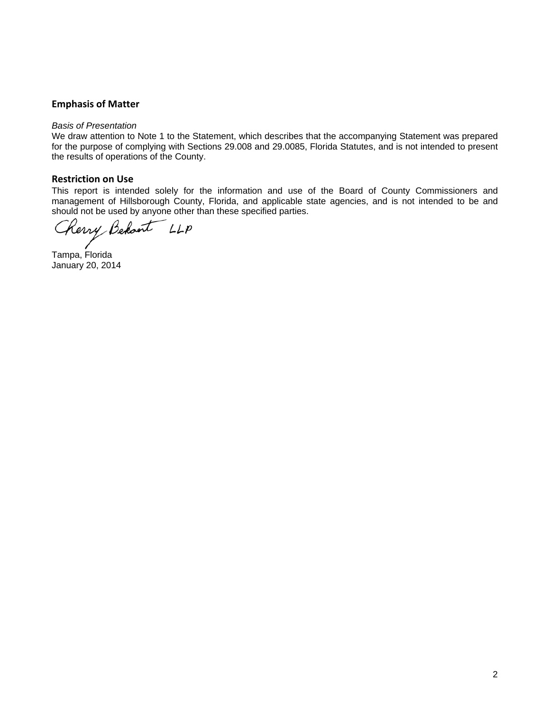### **Emphasis of Matter**

#### *Basis of Presentation*

We draw attention to Note 1 to the Statement, which describes that the accompanying Statement was prepared for the purpose of complying with Sections 29.008 and 29.0085, Florida Statutes, and is not intended to present the results of operations of the County.

### **Restriction on Use**

This report is intended solely for the information and use of the Board of County Commissioners and management of Hillsborough County, Florida, and applicable state agencies, and is not intended to be and should not be used by anyone other than these specified parties.

Cherry Behant LLP

Tampa, Florida January 20, 2014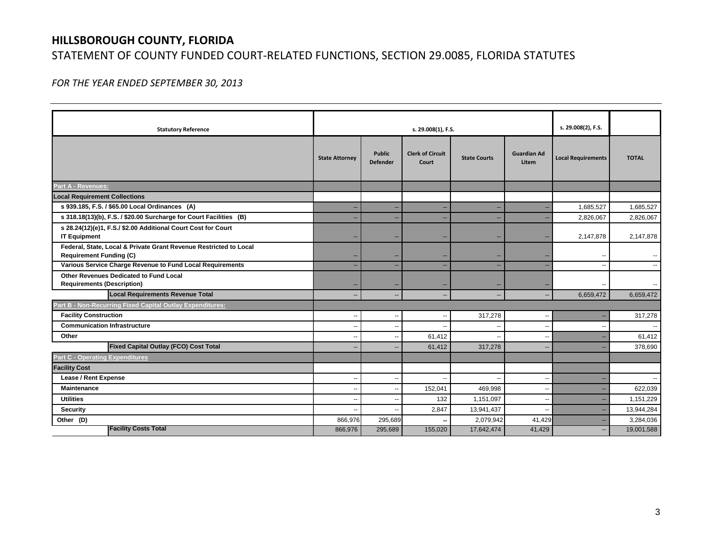## **HILLSBOROUGH COUNTY, FLORIDA**

### STATEMENT OF COUNTY FUNDED COURT‐RELATED FUNCTIONS, SECTION 29.0085, FLORIDA STATUTES

*FOR THE YEAR ENDED SEPTEMBER 30, 2013*

| <b>Statutory Reference</b>                                                                          | s. 29.008(1), F.S.    |                                  |                                  |                     | s. 29.008(2), F.S.          |                           |              |
|-----------------------------------------------------------------------------------------------------|-----------------------|----------------------------------|----------------------------------|---------------------|-----------------------------|---------------------------|--------------|
|                                                                                                     | <b>State Attorney</b> | <b>Public</b><br><b>Defender</b> | <b>Clerk of Circuit</b><br>Court | <b>State Courts</b> | <b>Guardian Ad</b><br>Litem | <b>Local Requirements</b> | <b>TOTAL</b> |
| Part A - Revenues:                                                                                  |                       |                                  |                                  |                     |                             |                           |              |
| <b>Local Requirement Collections</b>                                                                |                       |                                  |                                  |                     |                             |                           |              |
| s 939.185, F.S. / \$65.00 Local Ordinances (A)                                                      |                       | $\overline{a}$                   | ц,                               |                     |                             | 1,685,527                 | 1,685,527    |
| s 318.18(13)(b), F.S. / \$20.00 Surcharge for Court Facilities (B)                                  |                       | $\overline{\phantom{a}}$         | ц,                               |                     |                             | 2,826,067                 | 2,826,067    |
| s 28.24(12)(e)1, F.S./ \$2.00 Additional Court Cost for Court<br><b>IT Equipment</b>                |                       | --                               | -                                |                     |                             | 2,147,878                 | 2,147,878    |
| Federal, State, Local & Private Grant Revenue Restricted to Local<br><b>Requirement Funding (C)</b> |                       |                                  |                                  |                     |                             |                           |              |
| Various Service Charge Revenue to Fund Local Requirements                                           | --                    | $\qquad \qquad -$                | ц,                               |                     |                             |                           |              |
| Other Revenues Dedicated to Fund Local<br><b>Requirements (Description)</b>                         |                       |                                  |                                  |                     |                             |                           |              |
| <b>Local Requirements Revenue Total</b>                                                             | $-$                   | $-$                              |                                  |                     |                             | 6,659,472                 | 6,659,472    |
| Part B - Non-Recurring Fixed Capital Outlay Expenditures:                                           |                       |                                  |                                  |                     |                             |                           |              |
| <b>Facility Construction</b>                                                                        | --                    | --                               |                                  | 317,278             |                             |                           | 317,278      |
| <b>Communication Infrastructure</b>                                                                 | --                    | $\overline{\phantom{a}}$         |                                  |                     |                             |                           |              |
| Other                                                                                               | $\overline{a}$        | --                               | 61,412                           |                     |                             |                           | 61,412       |
| <b>Fixed Capital Outlay (FCO) Cost Total</b>                                                        |                       | $-$                              | 61,412                           | 317.278             | $\overline{\phantom{a}}$    |                           | 378,690      |
| <b>Part C - Operating Expenditures</b>                                                              |                       |                                  |                                  |                     |                             |                           |              |
| <b>Facility Cost</b>                                                                                |                       |                                  |                                  |                     |                             |                           |              |
| Lease / Rent Expense                                                                                |                       | $\overline{\phantom{a}}$         |                                  |                     |                             |                           |              |
| <b>Maintenance</b>                                                                                  | --                    | --                               | 152,041                          | 469,998             | $\overline{\phantom{a}}$    |                           | 622,039      |
| <b>Utilities</b>                                                                                    | --                    | $\overline{\phantom{a}}$         | 132                              | 1,151,097           | $\sim$                      |                           | 1,151,229    |
| <b>Security</b>                                                                                     |                       | $\overline{\phantom{a}}$         | 2,847                            | 13,941,437          |                             |                           | 13,944,284   |
| Other (D)                                                                                           | 866,976               | 295,689                          |                                  | 2,079,942           | 41,429                      |                           | 3,284,036    |
| <b>Facility Costs Total</b>                                                                         | 866,976               | 295,689                          | 155,020                          | 17,642,474          | 41,429                      | н.                        | 19,001,588   |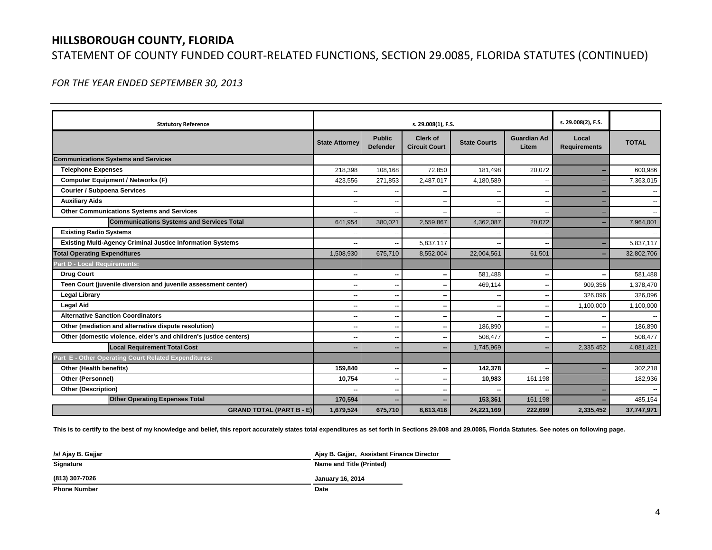## **HILLSBOROUGH COUNTY, FLORIDA** STATEMENT OF COUNTY FUNDED COURT‐RELATED FUNCTIONS, SECTION 29.0085, FLORIDA STATUTES (CONTINUED)

*FOR THE YEAR ENDED SEPTEMBER 30, 2013*

| <b>Statutory Reference</b>                                        | s. 29.008(1), F.S.    |                                  |                                         |                     | s. 29.008(2), F.S.          |                              |              |
|-------------------------------------------------------------------|-----------------------|----------------------------------|-----------------------------------------|---------------------|-----------------------------|------------------------------|--------------|
|                                                                   | <b>State Attorney</b> | <b>Public</b><br><b>Defender</b> | <b>Clerk of</b><br><b>Circuit Court</b> | <b>State Courts</b> | <b>Guardian Ad</b><br>Litem | Local<br><b>Requirements</b> | <b>TOTAL</b> |
| <b>Communications Systems and Services</b>                        |                       |                                  |                                         |                     |                             |                              |              |
| <b>Telephone Expenses</b>                                         | 218,398               | 108,168                          | 72,850                                  | 181,498             | 20,072                      |                              | 600,986      |
| <b>Computer Equipment / Networks (F)</b>                          | 423,556               | 271,853                          | 2,487,017                               | 4,180,589           |                             |                              | 7,363,015    |
| <b>Courier / Subpoena Services</b>                                |                       |                                  |                                         |                     |                             |                              |              |
| <b>Auxiliary Aids</b>                                             |                       | --                               |                                         |                     |                             |                              |              |
| <b>Other Communications Systems and Services</b>                  |                       | --                               |                                         |                     |                             |                              |              |
| <b>Communications Systems and Services Total</b>                  | 641,954               | 380,021                          | 2,559,867                               | 4,362,087           | 20,072                      |                              | 7,964,001    |
| <b>Existing Radio Systems</b>                                     |                       |                                  |                                         |                     |                             |                              |              |
| <b>Existing Multi-Agency Criminal Justice Information Systems</b> |                       | $\overline{\phantom{a}}$         | 5,837,117                               |                     |                             |                              | 5,837,117    |
| <b>Total Operating Expenditures</b>                               | 1,508,930             | 675.710                          | 8,552,004                               | 22,004,561          | 61.501                      |                              | 32,802,706   |
| <b>Part D - Local Requirements:</b>                               |                       |                                  |                                         |                     |                             |                              |              |
| <b>Drug Court</b>                                                 |                       | $\sim$                           |                                         | 581.488             |                             |                              | 581,488      |
| Teen Court (juvenile diversion and juvenile assessment center)    |                       | --                               |                                         | 469.114             |                             | 909,356                      | 1,378,470    |
| <b>Legal Library</b>                                              |                       | --                               |                                         |                     |                             | 326,096                      | 326,096      |
| <b>Legal Aid</b>                                                  |                       | $\overline{\phantom{a}}$         |                                         |                     |                             | 1,100,000                    | 1,100,000    |
| <b>Alternative Sanction Coordinators</b>                          |                       | $\sim$                           |                                         |                     |                             |                              |              |
| Other (mediation and alternative dispute resolution)              |                       |                                  |                                         | 186.890             |                             |                              | 186,890      |
| Other (domestic violence, elder's and children's justice centers) |                       | $\overline{\phantom{a}}$         | ۰.                                      | 508,477             |                             |                              | 508,477      |
| <b>Local Requirement Total Cost</b>                               |                       | -                                |                                         | 1,745,969           |                             | 2,335,452                    | 4,081,421    |
| Part E - Other Operating Court Related Expenditures:              |                       |                                  |                                         |                     |                             |                              |              |
| Other (Health benefits)                                           | 159,840               | --                               |                                         | 142,378             |                             |                              | 302,218      |
| Other (Personnel)                                                 | 10,754                | $\overline{\phantom{a}}$         | ٠.                                      | 10,983              | 161,198                     |                              | 182,936      |
| <b>Other (Description)</b>                                        |                       | --                               |                                         |                     |                             |                              |              |
| <b>Other Operating Expenses Total</b>                             | 170,594               |                                  |                                         | 153,361             | 161,198                     |                              | 485.154      |
| <b>GRAND TOTAL (PART B - E)</b>                                   | 1,679,524             | 675,710                          | 8,613,416                               | 24,221,169          | 222,699                     | 2,335,452                    | 37,747,971   |

**This is to certify to the best of my knowledge and belief, this report accurately states total expenditures as set forth in Sections 29.008 and 29.0085, Florida Statutes. See notes on following page.**

| /s/ Ajay B. Gajjar | Ajay B. Gajjar, Assistant Finance Director |
|--------------------|--------------------------------------------|
| Signature          | Name and Title (Printed)                   |
| (813) 307-7026     | <b>January 16, 2014</b>                    |

**Phone Number**

**r** Date and the contract of the contract of the contract of the contract of the contract of the contract of the contract of the contract of the contract of the contract of the contract of the contract of the contract of t Date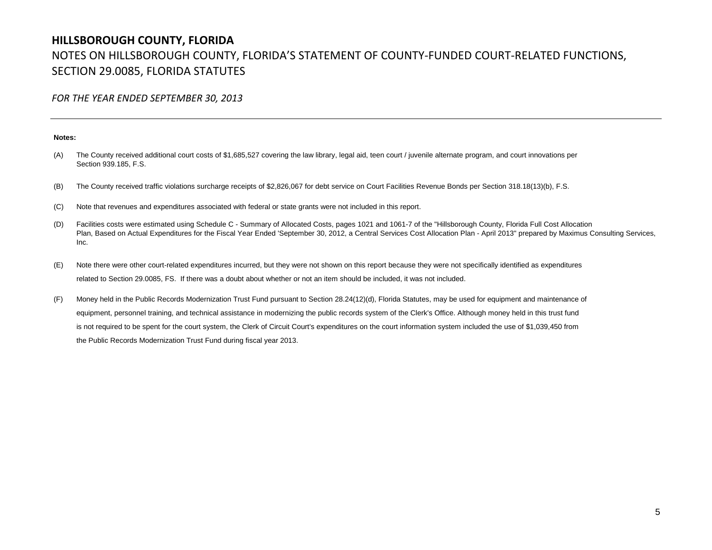### **HILLSBOROUGH COUNTY, FLORIDA** NOTES ON HILLSBOROUGH COUNTY, FLORIDA'S STATEMENT OF COUNTY‐FUNDED COURT‐RELATED FUNCTIONS, SECTION 29.0085, FLORIDA STATUTES

*FOR THE YEAR ENDED SEPTEMBER 30, 2013*

#### **Notes:**

- (A) The County received additional court costs of \$1,685,527 covering the law library, legal aid, teen court / juvenile alternate program, and court innovations per Section 939.185, F.S.
- (B) The County received traffic violations surcharge receipts of \$2,826,067 for debt service on Court Facilities Revenue Bonds per Section 318.18(13)(b), F.S.
- (C) Note that revenues and expenditures associated with federal or state grants were not included in this report.
- (D) Facilities costs were estimated using Schedule C - Summary of Allocated Costs, pages 1021 and 1061-7 of the "Hillsborough County, Florida Full Cost Allocation Plan, Based on Actual Expenditures for the Fiscal Year Ended 'September 30, 2012, a Central Services Cost Allocation Plan - April 2013" prepared by Maximus Consulting Services, Inc.
- (E) Note there were other court-related expenditures incurred, but they were not shown on this report because they were not specifically identified as expenditures related to Section 29.0085, FS. If there was a doubt about whether or not an item should be included, it was not included.
- (F) Money held in the Public Records Modernization Trust Fund pursuant to Section 28.24(12)(d), Florida Statutes, may be used for equipment and maintenance of equipment, personnel training, and technical assistance in modernizing the public records system of the Clerk's Office. Although money held in this trust fund is not required to be spent for the court system, the Clerk of Circuit Court's expenditures on the court information system included the use of \$1,039,450 from the Public Records Modernization Trust Fund during fiscal year 2013.